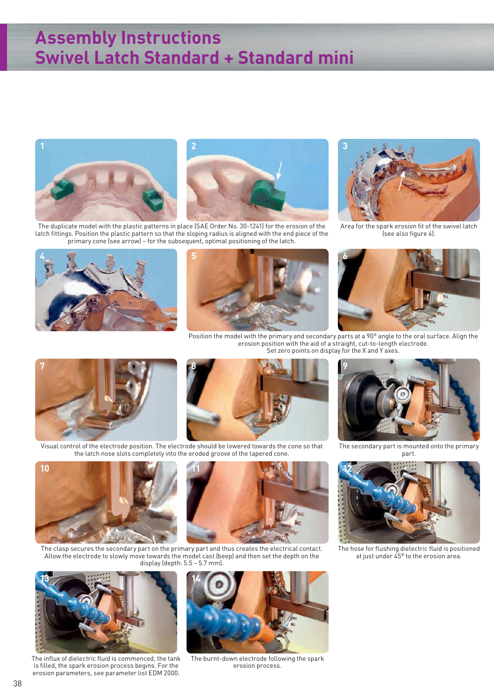## **Assembly Instructions Swivel Latch Standard + Standard mini**





The duplicate model with the plastic patterns in place (SAE Order No. 30-1241) for the erosion of the latch fittings. Position the plastic pattern so that the sloping radius is aligned with the end piece of the primary cone (see arrow) – for the subsequent, optimal positioning of the latch.



Area for the spark erosion fit of the swivel latch (see also figure 4).







Position the model with the primary and secondary parts at a 90° angle to the oral surface. Align the erosion position with the aid of a straight, cut-to-length electrode. Set zero points on display for the X and Y axes.





Visual control of the electrode position. The electrode should be lowered towards the cone so that the latch nose slots completely into the eroded groove of the tapered cone.



part.





The clasp secures the secondary part on the primary part and thus creates the electrical contact. Allow the electrode to slowly move towards the model cast (beep) and then set the depth on the display (depth: 5.5 – 5.7 mm).



The influx of dielectric fluid is commenced, the tank is filled, the spark erosion process begins. For the erosion parameters, see parameter list EDM 2000.



The burnt-down electrode following the spark erosion process.



The hose for flushing dielectric fluid is positioned at just under 45° to the erosion area.